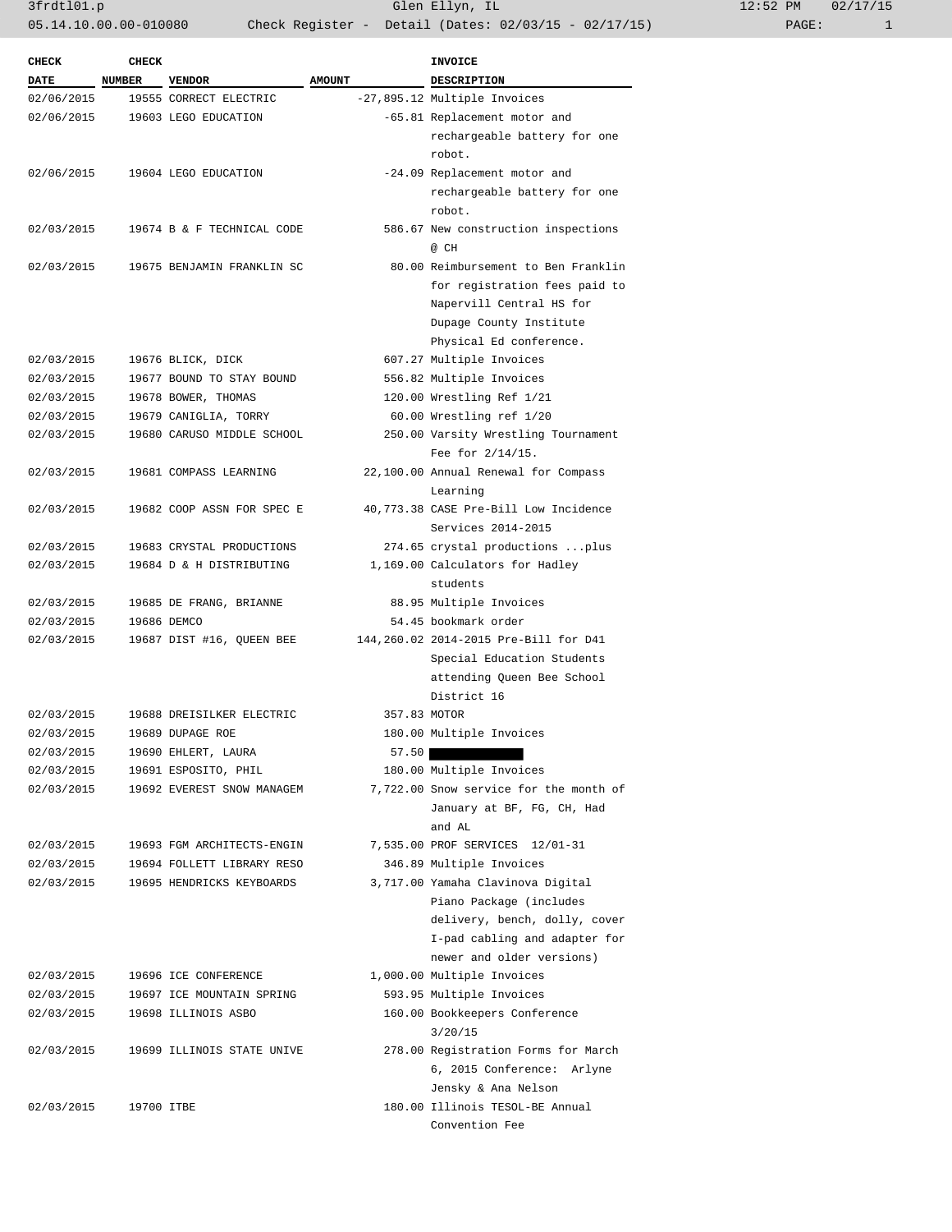3frdtl01.p Glen Ellyn, IL 12:52 PM 02/17/15 05.14.10.00.00-010080 Check Register - Detail (Dates: 02/03/15 - 02/17/15)

| <b>CHECK</b> | <b>CHECK</b>  |                            |               | INVOICE                                |
|--------------|---------------|----------------------------|---------------|----------------------------------------|
| DATE         | <b>NUMBER</b> | <b>VENDOR</b>              | <b>AMOUNT</b> | <b>DESCRIPTION</b>                     |
| 02/06/2015   |               | 19555 CORRECT ELECTRIC     |               | -27,895.12 Multiple Invoices           |
| 02/06/2015   |               | 19603 LEGO EDUCATION       |               | -65.81 Replacement motor and           |
|              |               |                            |               | rechargeable battery for one           |
|              |               |                            |               | robot.                                 |
| 02/06/2015   |               | 19604 LEGO EDUCATION       |               | -24.09 Replacement motor and           |
|              |               |                            |               | rechargeable battery for one           |
|              |               |                            |               | robot.                                 |
| 02/03/2015   |               | 19674 B & F TECHNICAL CODE |               | 586.67 New construction inspections    |
|              |               |                            |               | @ CH                                   |
| 02/03/2015   |               | 19675 BENJAMIN FRANKLIN SC |               | 80.00 Reimbursement to Ben Franklin    |
|              |               |                            |               | for registration fees paid to          |
|              |               |                            |               | Napervill Central HS for               |
|              |               |                            |               | Dupage County Institute                |
|              |               |                            |               | Physical Ed conference.                |
| 02/03/2015   |               | 19676 BLICK, DICK          |               | 607.27 Multiple Invoices               |
| 02/03/2015   |               | 19677 BOUND TO STAY BOUND  |               | 556.82 Multiple Invoices               |
| 02/03/2015   |               | 19678 BOWER, THOMAS        |               | 120.00 Wrestling Ref 1/21              |
| 02/03/2015   |               | 19679 CANIGLIA, TORRY      |               | 60.00 Wrestling ref 1/20               |
| 02/03/2015   |               | 19680 CARUSO MIDDLE SCHOOL |               | 250.00 Varsity Wrestling Tournament    |
|              |               |                            |               | Fee for 2/14/15.                       |
| 02/03/2015   |               | 19681 COMPASS LEARNING     |               | 22,100.00 Annual Renewal for Compass   |
|              |               |                            |               | Learning                               |
| 02/03/2015   |               | 19682 COOP ASSN FOR SPEC E |               | 40,773.38 CASE Pre-Bill Low Incidence  |
|              |               |                            |               | Services 2014-2015                     |
| 02/03/2015   |               | 19683 CRYSTAL PRODUCTIONS  |               | 274.65 crystal productions  plus       |
| 02/03/2015   |               | 19684 D & H DISTRIBUTING   |               | 1,169.00 Calculators for Hadley        |
|              |               |                            |               | students                               |
| 02/03/2015   |               | 19685 DE FRANG, BRIANNE    |               | 88.95 Multiple Invoices                |
| 02/03/2015   |               | 19686 DEMCO                |               | 54.45 bookmark order                   |
| 02/03/2015   |               | 19687 DIST #16, QUEEN BEE  |               | 144,260.02 2014-2015 Pre-Bill for D41  |
|              |               |                            |               |                                        |
|              |               |                            |               | Special Education Students             |
|              |               |                            |               | attending Queen Bee School             |
|              |               |                            |               | District 16                            |
| 02/03/2015   |               | 19688 DREISILKER ELECTRIC  | 357.83 MOTOR  |                                        |
| 02/03/2015   |               | 19689 DUPAGE ROE           |               | 180.00 Multiple Invoices               |
| 02/03/2015   |               | 19690 EHLERT, LAURA        | 57.50         |                                        |
| 02/03/2015   |               | 19691 ESPOSITO, PHIL       |               | 180.00 Multiple Invoices               |
| 02/03/2015   |               | 19692 EVEREST SNOW MANAGEM |               | 7,722.00 Snow service for the month of |
|              |               |                            |               | January at BF, FG, CH, Had             |
|              |               |                            |               | and AL                                 |
| 02/03/2015   |               | 19693 FGM ARCHITECTS-ENGIN |               | 7,535.00 PROF SERVICES 12/01-31        |
| 02/03/2015   |               | 19694 FOLLETT LIBRARY RESO |               | 346.89 Multiple Invoices               |
| 02/03/2015   |               | 19695 HENDRICKS KEYBOARDS  |               | 3,717.00 Yamaha Clavinova Digital      |
|              |               |                            |               | Piano Package (includes                |
|              |               |                            |               | delivery, bench, dolly, cover          |
|              |               |                            |               | I-pad cabling and adapter for          |
|              |               |                            |               | newer and older versions)              |
| 02/03/2015   |               | 19696 ICE CONFERENCE       |               | 1,000.00 Multiple Invoices             |
| 02/03/2015   |               | 19697 ICE MOUNTAIN SPRING  |               | 593.95 Multiple Invoices               |
| 02/03/2015   |               | 19698 ILLINOIS ASBO        |               | 160.00 Bookkeepers Conference          |
|              |               |                            |               | 3/20/15                                |
| 02/03/2015   |               | 19699 ILLINOIS STATE UNIVE |               | 278.00 Registration Forms for March    |
|              |               |                            |               | 6, 2015 Conference: Arlyne             |
|              |               |                            |               | Jensky & Ana Nelson                    |
| 02/03/2015   | 19700 ITBE    |                            |               | 180.00 Illinois TESOL-BE Annual        |
|              |               |                            |               |                                        |
|              |               |                            |               | Convention Fee                         |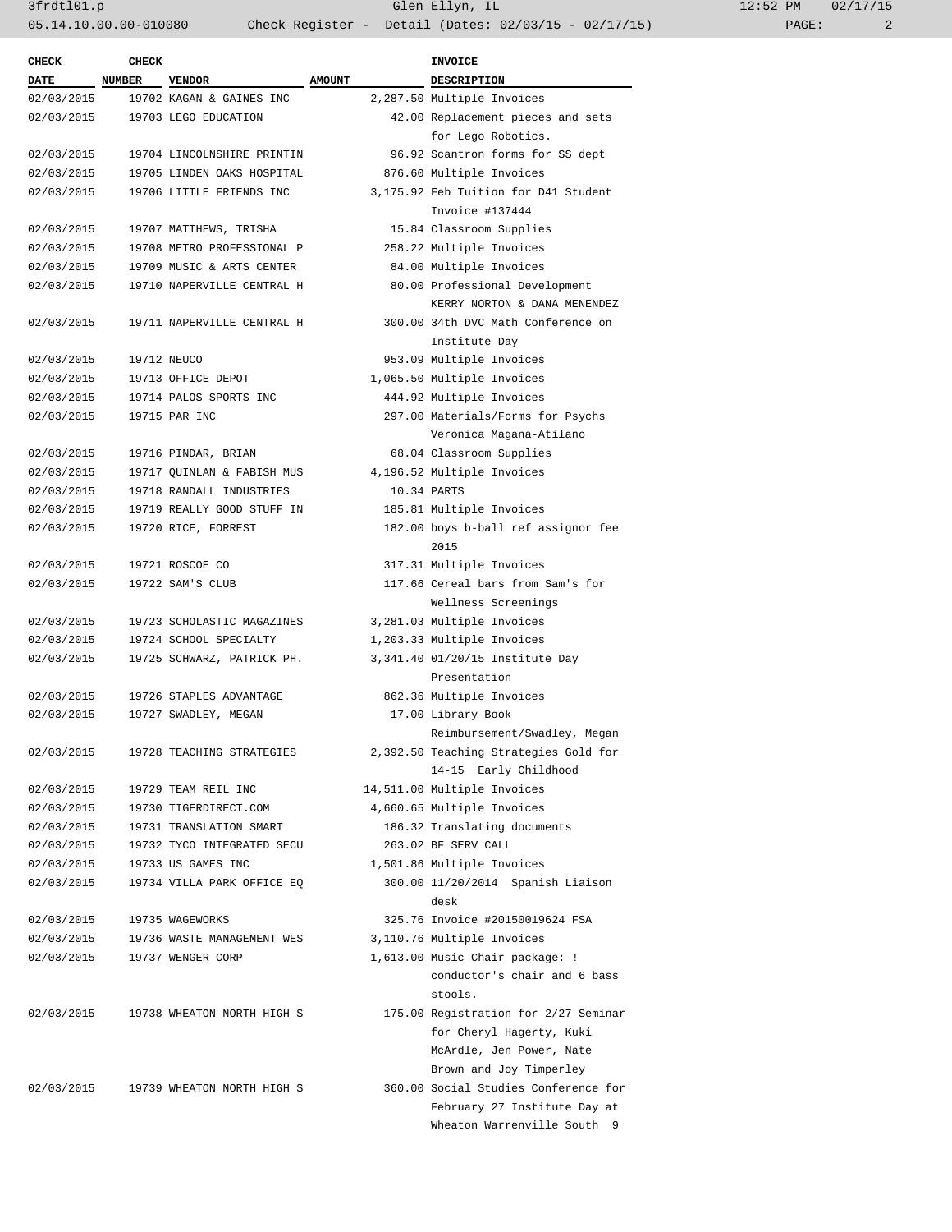| <b>CHECK</b> | CHECK  |                                       |               | <b>INVOICE</b>                              |
|--------------|--------|---------------------------------------|---------------|---------------------------------------------|
| <b>DATE</b>  | NUMBER | <b>VENDOR</b>                         | <b>AMOUNT</b> | DESCRIPTION                                 |
| 02/03/2015   |        | 19702 KAGAN & GAINES INC              |               | 2,287.50 Multiple Invoices                  |
| 02/03/2015   |        | 19703 LEGO EDUCATION                  |               | 42.00 Replacement pieces and sets           |
|              |        |                                       |               | for Lego Robotics.                          |
| 02/03/2015   |        | 19704 LINCOLNSHIRE PRINTIN            |               | 96.92 Scantron forms for SS dept            |
| 02/03/2015   |        | 19705 LINDEN OAKS HOSPITAL            |               | 876.60 Multiple Invoices                    |
| 02/03/2015   |        | 19706 LITTLE FRIENDS INC              |               | 3,175.92 Feb Tuition for D41 Student        |
|              |        |                                       |               | Invoice #137444                             |
| 02/03/2015   |        | 19707 MATTHEWS, TRISHA                |               | 15.84 Classroom Supplies                    |
| 02/03/2015   |        | 19708 METRO PROFESSIONAL P            |               | 258.22 Multiple Invoices                    |
| 02/03/2015   |        | 19709 MUSIC & ARTS CENTER             |               | 84.00 Multiple Invoices                     |
| 02/03/2015   |        | 19710 NAPERVILLE CENTRAL H            |               | 80.00 Professional Development              |
|              |        |                                       |               | KERRY NORTON & DANA MENENDEZ                |
| 02/03/2015   |        | 19711 NAPERVILLE CENTRAL H            |               | 300.00 34th DVC Math Conference on          |
|              |        |                                       |               | Institute Day                               |
| 02/03/2015   |        | 19712 NEUCO                           |               | 953.09 Multiple Invoices                    |
| 02/03/2015   |        | 19713 OFFICE DEPOT                    |               | 1,065.50 Multiple Invoices                  |
| 02/03/2015   |        | 19714 PALOS SPORTS INC                |               | 444.92 Multiple Invoices                    |
| 02/03/2015   |        | 19715 PAR INC                         |               | 297.00 Materials/Forms for Psychs           |
|              |        |                                       |               | Veronica Magana-Atilano                     |
|              |        |                                       |               |                                             |
| 02/03/2015   |        | 19716 PINDAR, BRIAN                   |               | 68.04 Classroom Supplies                    |
| 02/03/2015   |        | 19717 OUINLAN & FABISH MUS            |               | 4,196.52 Multiple Invoices                  |
| 02/03/2015   |        | 19718 RANDALL INDUSTRIES              |               | 10.34 PARTS                                 |
| 02/03/2015   |        | 19719 REALLY GOOD STUFF IN            |               | 185.81 Multiple Invoices                    |
| 02/03/2015   |        | 19720 RICE, FORREST                   |               | 182.00 boys b-ball ref assignor fee<br>2015 |
| 02/03/2015   |        | 19721 ROSCOE CO                       |               | 317.31 Multiple Invoices                    |
| 02/03/2015   |        | 19722 SAM'S CLUB                      |               | 117.66 Cereal bars from Sam's for           |
|              |        |                                       |               | Wellness Screenings                         |
| 02/03/2015   |        | 19723 SCHOLASTIC MAGAZINES            |               | 3,281.03 Multiple Invoices                  |
| 02/03/2015   |        | 19724 SCHOOL SPECIALTY                |               | 1,203.33 Multiple Invoices                  |
| 02/03/2015   |        | 19725 SCHWARZ, PATRICK PH.            |               | 3,341.40 01/20/15 Institute Day             |
|              |        |                                       |               | Presentation                                |
| 02/03/2015   |        | 19726 STAPLES ADVANTAGE               |               | 862.36 Multiple Invoices                    |
| 02/03/2015   |        | 19727 SWADLEY, MEGAN                  |               | 17.00 Library Book                          |
|              |        |                                       |               | Reimbursement/Swadley, Megan                |
| 02/03/2015   |        | 19728 TEACHING STRATEGIES             |               | 2,392.50 Teaching Strategies Gold for       |
|              |        |                                       |               | 14-15 Early Childhood                       |
| 02/03/2015   |        | 19729 TEAM REIL INC                   |               | 14,511.00 Multiple Invoices                 |
| 02/03/2015   |        | 19730 TIGERDIRECT.COM                 |               | 4,660.65 Multiple Invoices                  |
| 02/03/2015   |        | 19731 TRANSLATION SMART               |               | 186.32 Translating documents                |
| 02/03/2015   |        | 19732 TYCO INTEGRATED SECU            |               | 263.02 BF SERV CALL                         |
| 02/03/2015   |        | 19733 US GAMES INC                    |               | 1,501.86 Multiple Invoices                  |
| 02/03/2015   |        | 19734 VILLA PARK OFFICE EQ            |               | 300.00 11/20/2014 Spanish Liaison<br>desk   |
| 02/03/2015   |        | 19735 WAGEWORKS                       |               | 325.76 Invoice #20150019624 FSA             |
| 02/03/2015   |        | 19736 WASTE MANAGEMENT WES            |               | 3,110.76 Multiple Invoices                  |
| 02/03/2015   |        | 19737 WENGER CORP                     |               | 1,613.00 Music Chair package: !             |
|              |        |                                       |               | conductor's chair and 6 bass                |
|              |        |                                       |               | stools.                                     |
|              |        | 02/03/2015 19738 WHEATON NORTH HIGH S |               | 175.00 Registration for 2/27 Seminar        |
|              |        |                                       |               | for Cheryl Hagerty, Kuki                    |
|              |        |                                       |               | McArdle, Jen Power, Nate                    |
|              |        |                                       |               | Brown and Joy Timperley                     |
|              |        | 02/03/2015 19739 WHEATON NORTH HIGH S |               | 360.00 Social Studies Conference for        |
|              |        |                                       |               | February 27 Institute Day at                |
|              |        |                                       |               | Wheaton Warrenville South 9                 |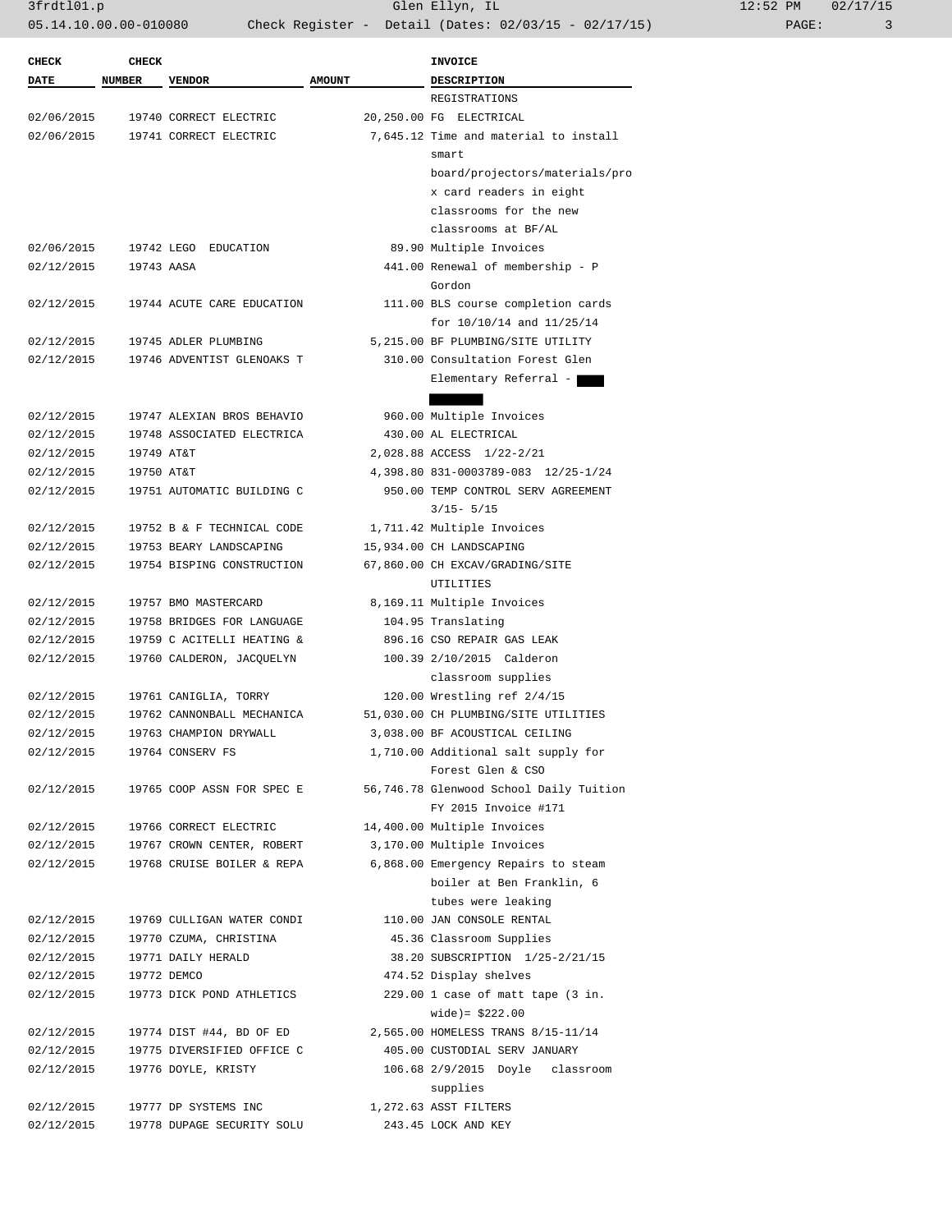3frdtl01.p Glen Ellyn, IL 12:52 PM 02/17/15 05.14.10.00.00-010080 Check Register - Detail (Dates: 02/03/15 - 02/17/15) PAGE: 3

| <b>CHECK</b> | <b>CHECK</b>  |                            |               | <b>INVOICE</b>                                                  |
|--------------|---------------|----------------------------|---------------|-----------------------------------------------------------------|
| <b>DATE</b>  | <b>NUMBER</b> | <b>VENDOR</b>              | <b>AMOUNT</b> | <b>DESCRIPTION</b>                                              |
|              |               |                            |               | REGISTRATIONS                                                   |
| 02/06/2015   |               | 19740 CORRECT ELECTRIC     |               | 20,250.00 FG ELECTRICAL                                         |
| 02/06/2015   |               | 19741 CORRECT ELECTRIC     |               | 7,645.12 Time and material to install                           |
|              |               |                            |               | smart                                                           |
|              |               |                            |               | board/projectors/materials/pro                                  |
|              |               |                            |               | x card readers in eight                                         |
|              |               |                            |               | classrooms for the new                                          |
|              |               |                            |               | classrooms at BF/AL                                             |
| 02/06/2015   |               | 19742 LEGO EDUCATION       |               | 89.90 Multiple Invoices                                         |
| 02/12/2015   | 19743 AASA    |                            |               | 441.00 Renewal of membership - P                                |
|              |               |                            |               | Gordon                                                          |
| 02/12/2015   |               | 19744 ACUTE CARE EDUCATION |               | 111.00 BLS course completion cards                              |
|              |               |                            |               | for 10/10/14 and 11/25/14                                       |
| 02/12/2015   |               | 19745 ADLER PLUMBING       |               | 5,215.00 BF PLUMBING/SITE UTILITY                               |
| 02/12/2015   |               | 19746 ADVENTIST GLENOAKS T |               | 310.00 Consultation Forest Glen                                 |
|              |               |                            |               | Elementary Referral -                                           |
|              |               |                            |               |                                                                 |
| 02/12/2015   |               | 19747 ALEXIAN BROS BEHAVIO |               | 960.00 Multiple Invoices                                        |
| 02/12/2015   |               | 19748 ASSOCIATED ELECTRICA |               | 430.00 AL ELECTRICAL                                            |
| 02/12/2015   | 19749 AT&T    |                            |               | 2,028.88 ACCESS 1/22-2/21                                       |
| 02/12/2015   | 19750 AT&T    |                            |               | 4,398.80 831-0003789-083 12/25-1/24                             |
| 02/12/2015   |               | 19751 AUTOMATIC BUILDING C |               | 950.00 TEMP CONTROL SERV AGREEMENT                              |
|              |               |                            |               | $3/15 - 5/15$                                                   |
| 02/12/2015   |               | 19752 B & F TECHNICAL CODE |               | 1,711.42 Multiple Invoices                                      |
| 02/12/2015   |               | 19753 BEARY LANDSCAPING    |               | 15,934.00 CH LANDSCAPING                                        |
| 02/12/2015   |               | 19754 BISPING CONSTRUCTION |               | 67,860.00 CH EXCAV/GRADING/SITE                                 |
|              |               |                            |               | UTILITIES                                                       |
| 02/12/2015   |               | 19757 BMO MASTERCARD       |               | 8,169.11 Multiple Invoices                                      |
| 02/12/2015   |               | 19758 BRIDGES FOR LANGUAGE |               | 104.95 Translating                                              |
| 02/12/2015   |               | 19759 C ACITELLI HEATING & |               | 896.16 CSO REPAIR GAS LEAK                                      |
| 02/12/2015   |               | 19760 CALDERON, JACQUELYN  |               | 100.39 2/10/2015 Calderon                                       |
|              |               |                            |               | classroom supplies                                              |
| 02/12/2015   |               | 19761 CANIGLIA, TORRY      |               | 120.00 Wrestling ref 2/4/15                                     |
| 02/12/2015   |               | 19762 CANNONBALL MECHANICA |               | 51,030.00 CH PLUMBING/SITE UTILITIES                            |
| 02/12/2015   |               | 19763 CHAMPION DRYWALL     |               | 3,038.00 BF ACOUSTICAL CEILING                                  |
| 02/12/2015   |               | 19764 CONSERV FS           |               | 1,710.00 Additional salt supply for<br>Forest Glen & CSO        |
| 02/12/2015   |               |                            |               |                                                                 |
|              |               | 19765 COOP ASSN FOR SPEC E |               | 56,746.78 Glenwood School Daily Tuition<br>FY 2015 Invoice #171 |
| 02/12/2015   |               | 19766 CORRECT ELECTRIC     |               | 14,400.00 Multiple Invoices                                     |
| 02/12/2015   |               | 19767 CROWN CENTER, ROBERT |               | 3,170.00 Multiple Invoices                                      |
| 02/12/2015   |               | 19768 CRUISE BOILER & REPA |               | 6,868.00 Emergency Repairs to steam                             |
|              |               |                            |               | boiler at Ben Franklin, 6                                       |
|              |               |                            |               | tubes were leaking                                              |
| 02/12/2015   |               | 19769 CULLIGAN WATER CONDI |               | 110.00 JAN CONSOLE RENTAL                                       |
| 02/12/2015   |               | 19770 CZUMA, CHRISTINA     |               | 45.36 Classroom Supplies                                        |
| 02/12/2015   |               | 19771 DAILY HERALD         |               | 38.20 SUBSCRIPTION 1/25-2/21/15                                 |
| 02/12/2015   |               | 19772 DEMCO                |               | 474.52 Display shelves                                          |
| 02/12/2015   |               | 19773 DICK POND ATHLETICS  |               | $229.00$ 1 case of matt tape $(3$ in.                           |
|              |               |                            |               | $wide) = $222.00$                                               |
| 02/12/2015   |               | 19774 DIST #44, BD OF ED   |               | 2,565.00 HOMELESS TRANS 8/15-11/14                              |
| 02/12/2015   |               | 19775 DIVERSIFIED OFFICE C |               | 405.00 CUSTODIAL SERV JANUARY                                   |
| 02/12/2015   |               | 19776 DOYLE, KRISTY        |               | 106.68 2/9/2015 Doyle classroom                                 |
|              |               |                            |               | supplies                                                        |
| 02/12/2015   |               | 19777 DP SYSTEMS INC       |               | 1,272.63 ASST FILTERS                                           |
| 02/12/2015   |               | 19778 DUPAGE SECURITY SOLU |               | 243.45 LOCK AND KEY                                             |
|              |               |                            |               |                                                                 |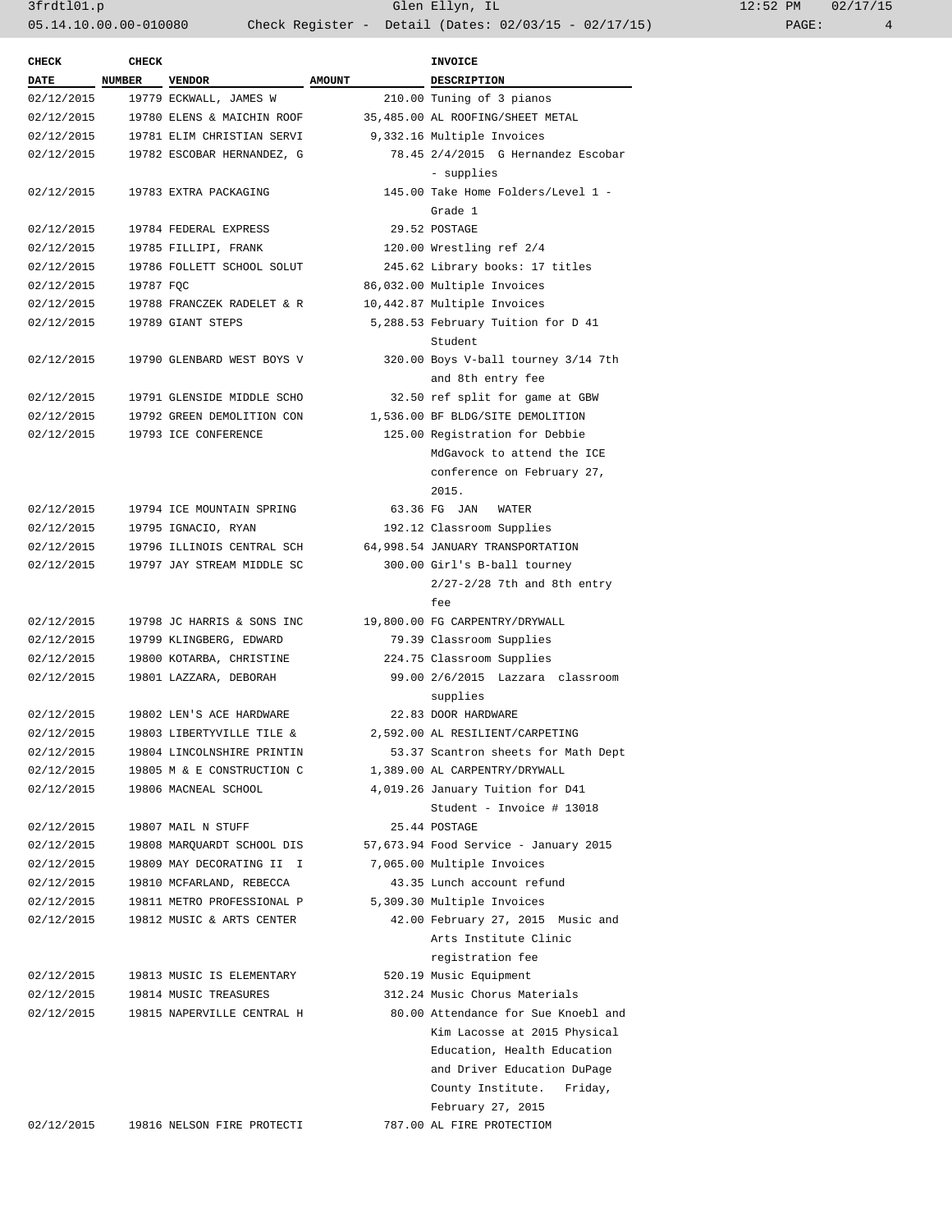| <b>CHECK</b> | <b>CHECK</b> |                            |               | <b>INVOICE</b>                        |
|--------------|--------------|----------------------------|---------------|---------------------------------------|
| <b>DATE</b>  | NUMBER       | <b>VENDOR</b>              | <b>AMOUNT</b> | DESCRIPTION                           |
| 02/12/2015   |              | 19779 ECKWALL, JAMES W     |               | 210.00 Tuning of 3 pianos             |
| 02/12/2015   |              | 19780 ELENS & MAICHIN ROOF |               | 35,485.00 AL ROOFING/SHEET METAL      |
| 02/12/2015   |              | 19781 ELIM CHRISTIAN SERVI |               | 9,332.16 Multiple Invoices            |
| 02/12/2015   |              | 19782 ESCOBAR HERNANDEZ, G |               | 78.45 2/4/2015 G Hernandez Escobar    |
|              |              |                            |               | - supplies                            |
| 02/12/2015   |              | 19783 EXTRA PACKAGING      |               | 145.00 Take Home Folders/Level 1 -    |
|              |              |                            |               | Grade 1                               |
| 02/12/2015   |              | 19784 FEDERAL EXPRESS      |               | 29.52 POSTAGE                         |
| 02/12/2015   |              | 19785 FILLIPI, FRANK       |               | 120.00 Wrestling ref 2/4              |
| 02/12/2015   |              | 19786 FOLLETT SCHOOL SOLUT |               | 245.62 Library books: 17 titles       |
| 02/12/2015   | 19787 FOC    |                            |               | 86,032.00 Multiple Invoices           |
| 02/12/2015   |              | 19788 FRANCZEK RADELET & R |               | 10,442.87 Multiple Invoices           |
| 02/12/2015   |              | 19789 GIANT STEPS          |               | 5,288.53 February Tuition for D 41    |
|              |              |                            |               | Student                               |
| 02/12/2015   |              | 19790 GLENBARD WEST BOYS V |               | 320.00 Boys V-ball tourney 3/14 7th   |
|              |              |                            |               | and 8th entry fee                     |
| 02/12/2015   |              | 19791 GLENSIDE MIDDLE SCHO |               | 32.50 ref split for game at GBW       |
| 02/12/2015   |              | 19792 GREEN DEMOLITION CON |               | 1,536.00 BF BLDG/SITE DEMOLITION      |
| 02/12/2015   |              | 19793 ICE CONFERENCE       |               | 125.00 Registration for Debbie        |
|              |              |                            |               | MdGavock to attend the ICE            |
|              |              |                            |               | conference on February 27,            |
|              |              |                            |               | 2015.                                 |
|              |              |                            |               | 63.36 FG JAN                          |
| 02/12/2015   |              | 19794 ICE MOUNTAIN SPRING  |               | WATER                                 |
| 02/12/2015   |              | 19795 IGNACIO, RYAN        |               | 192.12 Classroom Supplies             |
| 02/12/2015   |              | 19796 ILLINOIS CENTRAL SCH |               | 64,998.54 JANUARY TRANSPORTATION      |
| 02/12/2015   |              | 19797 JAY STREAM MIDDLE SC |               | 300.00 Girl's B-ball tourney          |
|              |              |                            |               | $2/27 - 2/28$ 7th and 8th entry       |
|              |              |                            |               | fee                                   |
| 02/12/2015   |              | 19798 JC HARRIS & SONS INC |               | 19,800.00 FG CARPENTRY/DRYWALL        |
| 02/12/2015   |              | 19799 KLINGBERG, EDWARD    |               | 79.39 Classroom Supplies              |
| 02/12/2015   |              | 19800 KOTARBA, CHRISTINE   |               | 224.75 Classroom Supplies             |
| 02/12/2015   |              | 19801 LAZZARA, DEBORAH     |               | 99.00 2/6/2015 Lazzara classroom      |
|              |              |                            |               | supplies                              |
| 02/12/2015   |              | 19802 LEN'S ACE HARDWARE   |               | 22.83 DOOR HARDWARE                   |
| 02/12/2015   |              | 19803 LIBERTYVILLE TILE &  |               | 2,592.00 AL RESILIENT/CARPETING       |
| 02/12/2015   |              | 19804 LINCOLNSHIRE PRINTIN |               | 53.37 Scantron sheets for Math Dept   |
| 02/12/2015   |              | 19805 M & E CONSTRUCTION C |               | 1,389.00 AL CARPENTRY/DRYWALL         |
| 02/12/2015   |              | 19806 MACNEAL SCHOOL       |               | 4,019.26 January Tuition for D41      |
|              |              |                            |               | Student - Invoice # 13018             |
| 02/12/2015   |              | 19807 MAIL N STUFF         |               | 25.44 POSTAGE                         |
| 02/12/2015   |              | 19808 MARQUARDT SCHOOL DIS |               | 57,673.94 Food Service - January 2015 |
| 02/12/2015   |              | 19809 MAY DECORATING II I  |               | 7,065.00 Multiple Invoices            |
| 02/12/2015   |              | 19810 MCFARLAND, REBECCA   |               | 43.35 Lunch account refund            |
| 02/12/2015   |              | 19811 METRO PROFESSIONAL P |               | 5,309.30 Multiple Invoices            |
| 02/12/2015   |              | 19812 MUSIC & ARTS CENTER  |               | 42.00 February 27, 2015 Music and     |
|              |              |                            |               | Arts Institute Clinic                 |
|              |              |                            |               | registration fee                      |
| 02/12/2015   |              | 19813 MUSIC IS ELEMENTARY  |               | 520.19 Music Equipment                |
| 02/12/2015   |              | 19814 MUSIC TREASURES      |               | 312.24 Music Chorus Materials         |
| 02/12/2015   |              | 19815 NAPERVILLE CENTRAL H |               | 80.00 Attendance for Sue Knoebl and   |
|              |              |                            |               | Kim Lacosse at 2015 Physical          |
|              |              |                            |               | Education, Health Education           |
|              |              |                            |               | and Driver Education DuPage           |
|              |              |                            |               | County Institute.<br>Friday,          |
|              |              |                            |               | February 27, 2015                     |
| 02/12/2015   |              | 19816 NELSON FIRE PROTECTI |               | 787.00 AL FIRE PROTECTIOM             |
|              |              |                            |               |                                       |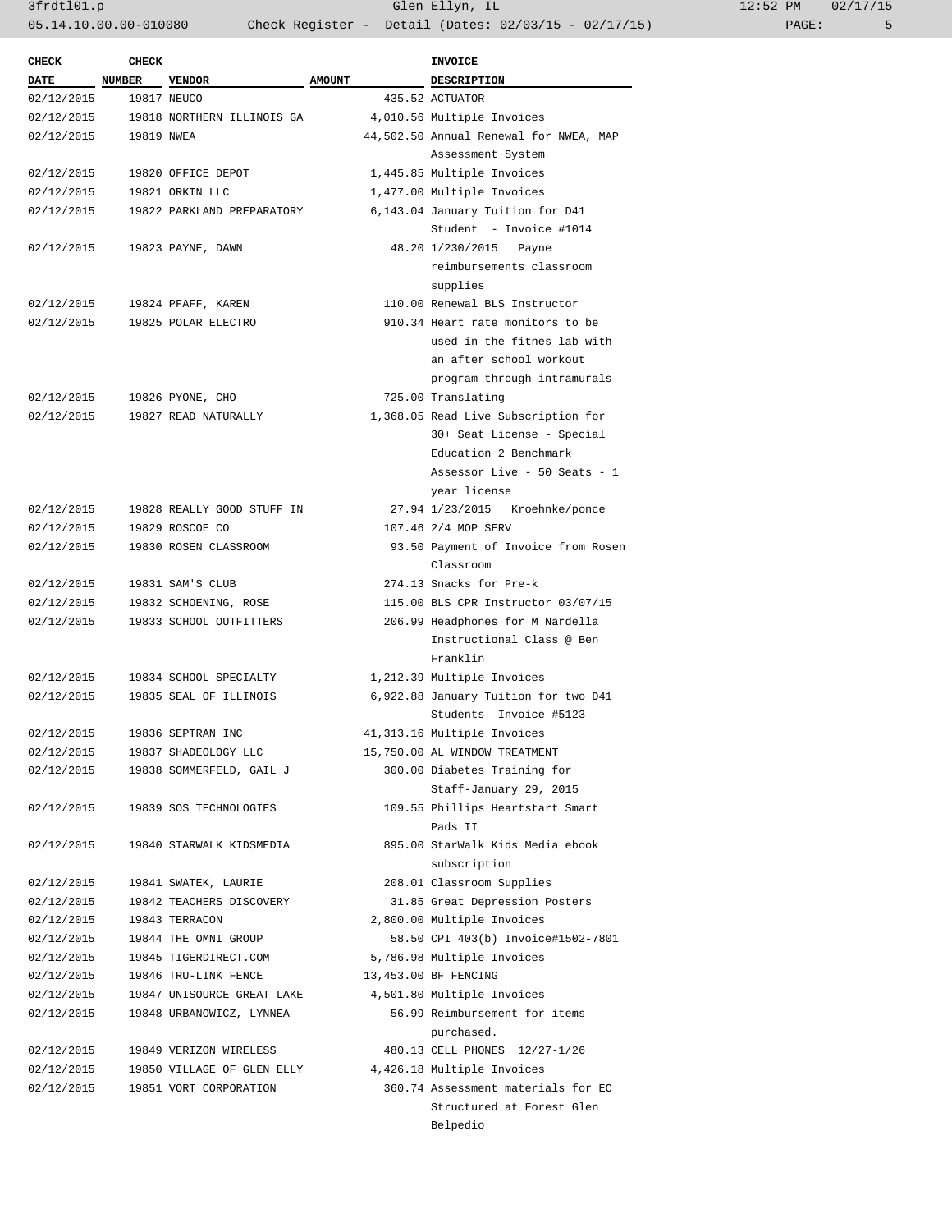3frdtl01.p Glen Ellyn, IL 12:52 PM 02/17/15 05.14.10.00.00-010080 Check Register - Detail (Dates: 02/03/15 - 02/17/15) PAGE: 5

| <b>CHECK</b> | CHECK         |                            |               | <b>INVOICE</b>                         |
|--------------|---------------|----------------------------|---------------|----------------------------------------|
| <b>DATE</b>  | <b>NUMBER</b> | <b>VENDOR</b>              | <b>AMOUNT</b> | <b>DESCRIPTION</b>                     |
| 02/12/2015   |               | 19817 NEUCO                |               | 435.52 ACTUATOR                        |
| 02/12/2015   |               | 19818 NORTHERN ILLINOIS GA |               | 4,010.56 Multiple Invoices             |
| 02/12/2015   | 19819 NWEA    |                            |               | 44,502.50 Annual Renewal for NWEA, MAP |
|              |               |                            |               | Assessment System                      |
| 02/12/2015   |               | 19820 OFFICE DEPOT         |               | 1,445.85 Multiple Invoices             |
| 02/12/2015   |               | 19821 ORKIN LLC            |               | 1,477.00 Multiple Invoices             |
| 02/12/2015   |               | 19822 PARKLAND PREPARATORY |               | 6,143.04 January Tuition for D41       |
|              |               |                            |               | Student - Invoice #1014                |
| 02/12/2015   |               | 19823 PAYNE, DAWN          |               | 48.20 1/230/2015 Payne                 |
|              |               |                            |               | reimbursements classroom               |
|              |               |                            |               | supplies                               |
| 02/12/2015   |               | 19824 PFAFF, KAREN         |               | 110.00 Renewal BLS Instructor          |
| 02/12/2015   |               | 19825 POLAR ELECTRO        |               | 910.34 Heart rate monitors to be       |
|              |               |                            |               | used in the fitnes lab with            |
|              |               |                            |               | an after school workout                |
|              |               |                            |               | program through intramurals            |
| 02/12/2015   |               | 19826 PYONE, CHO           |               | 725.00 Translating                     |
| 02/12/2015   |               | 19827 READ NATURALLY       |               | 1,368.05 Read Live Subscription for    |
|              |               |                            |               | 30+ Seat License - Special             |
|              |               |                            |               | Education 2 Benchmark                  |
|              |               |                            |               | Assessor Live - 50 Seats - 1           |
|              |               |                            |               | year license                           |
| 02/12/2015   |               | 19828 REALLY GOOD STUFF IN |               | 27.94 1/23/2015 Kroehnke/ponce         |
| 02/12/2015   |               | 19829 ROSCOE CO            |               | 107.46 2/4 MOP SERV                    |
| 02/12/2015   |               | 19830 ROSEN CLASSROOM      |               | 93.50 Payment of Invoice from Rosen    |
|              |               |                            |               | Classroom                              |
|              |               |                            |               | 274.13 Snacks for Pre-k                |
| 02/12/2015   |               | 19831 SAM'S CLUB           |               |                                        |
| 02/12/2015   |               | 19832 SCHOENING, ROSE      |               | 115.00 BLS CPR Instructor 03/07/15     |
| 02/12/2015   |               | 19833 SCHOOL OUTFITTERS    |               | 206.99 Headphones for M Nardella       |
|              |               |                            |               | Instructional Class @ Ben              |
|              |               |                            |               | Franklin                               |
| 02/12/2015   |               | 19834 SCHOOL SPECIALTY     |               | 1,212.39 Multiple Invoices             |
| 02/12/2015   |               | 19835 SEAL OF ILLINOIS     |               | 6,922.88 January Tuition for two D41   |
|              |               |                            |               | Students Invoice #5123                 |
| 02/12/2015   |               | 19836 SEPTRAN INC          |               | 41,313.16 Multiple Invoices            |
| 02/12/2015   |               | 19837 SHADEOLOGY LLC       |               | 15,750.00 AL WINDOW TREATMENT          |
| 02/12/2015   |               | 19838 SOMMERFELD, GAIL J   |               | 300.00 Diabetes Training for           |
|              |               |                            |               | Staff-January 29, 2015                 |
| 02/12/2015   |               | 19839 SOS TECHNOLOGIES     |               | 109.55 Phillips Heartstart Smart       |
|              |               |                            |               | Pads II                                |
| 02/12/2015   |               | 19840 STARWALK KIDSMEDIA   |               | 895.00 StarWalk Kids Media ebook       |
|              |               |                            |               | subscription                           |
| 02/12/2015   |               | 19841 SWATEK, LAURIE       |               | 208.01 Classroom Supplies              |
| 02/12/2015   |               | 19842 TEACHERS DISCOVERY   |               | 31.85 Great Depression Posters         |
| 02/12/2015   |               | 19843 TERRACON             |               | 2,800.00 Multiple Invoices             |
| 02/12/2015   |               | 19844 THE OMNI GROUP       |               | 58.50 CPI 403(b) Invoice#1502-7801     |
| 02/12/2015   |               | 19845 TIGERDIRECT.COM      |               | 5,786.98 Multiple Invoices             |
| 02/12/2015   |               | 19846 TRU-LINK FENCE       |               | 13,453.00 BF FENCING                   |
| 02/12/2015   |               | 19847 UNISOURCE GREAT LAKE |               | 4,501.80 Multiple Invoices             |
| 02/12/2015   |               | 19848 URBANOWICZ, LYNNEA   |               | 56.99 Reimbursement for items          |
|              |               |                            |               | purchased.                             |
| 02/12/2015   |               | 19849 VERIZON WIRELESS     |               | 480.13 CELL PHONES 12/27-1/26          |
| 02/12/2015   |               | 19850 VILLAGE OF GLEN ELLY |               | 4,426.18 Multiple Invoices             |
| 02/12/2015   |               | 19851 VORT CORPORATION     |               | 360.74 Assessment materials for EC     |
|              |               |                            |               | Structured at Forest Glen              |
|              |               |                            |               | Belpedio                               |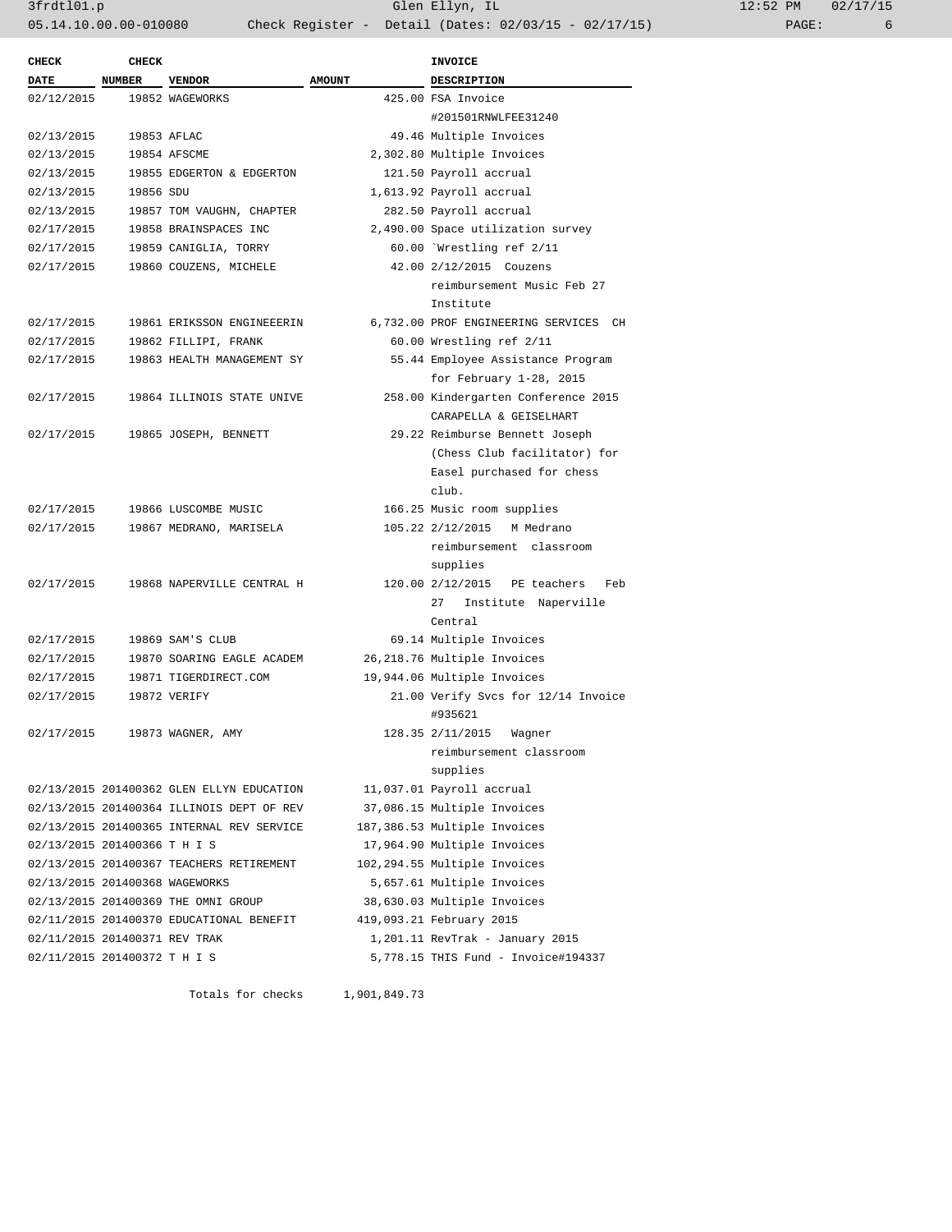3frdtl01.p Glen Ellyn, IL 12:52 PM 02/17/15 05.14.10.00.00-010080 Check Register - Detail (Dates: 02/03/15 - 02/17/15)

| <b>CHECK</b>                   | <b>CHECK</b> |                                                                                        |               | INVOICE                                                  |
|--------------------------------|--------------|----------------------------------------------------------------------------------------|---------------|----------------------------------------------------------|
| DATE NUMBER                    |              | <b>VENDOR</b>                                                                          | <b>AMOUNT</b> | DESCRIPTION                                              |
| 02/12/2015                     |              | 19852 WAGEWORKS                                                                        |               | 425.00 FSA Invoice                                       |
|                                |              |                                                                                        |               | #201501RNWLFEE31240                                      |
| 02/13/2015                     |              | 19853 AFLAC                                                                            |               | 49.46 Multiple Invoices                                  |
| 02/13/2015                     |              | 19854 AFSCME                                                                           |               | 2,302.80 Multiple Invoices                               |
| 02/13/2015                     |              | 19855 EDGERTON & EDGERTON                                                              |               | 121.50 Payroll accrual                                   |
| 02/13/2015                     | 19856 SDU    |                                                                                        |               | 1,613.92 Payroll accrual                                 |
| 02/13/2015                     |              | 19857 TOM VAUGHN, CHAPTER                                                              |               | 282.50 Payroll accrual                                   |
| 02/17/2015                     |              | 19858 BRAINSPACES INC                                                                  |               | 2,490.00 Space utilization survey                        |
| 02/17/2015                     |              | 19859 CANIGLIA, TORRY                                                                  |               | 60.00 Wrestling ref 2/11                                 |
| 02/17/2015                     |              | 19860 COUZENS, MICHELE                                                                 |               | 42.00 2/12/2015 Couzens                                  |
|                                |              |                                                                                        |               | reimbursement Music Feb 27                               |
|                                |              |                                                                                        |               | Institute                                                |
| 02/17/2015                     |              | 19861 ERIKSSON ENGINEEERIN                                                             |               | 6,732.00 PROF ENGINEERING SERVICES CH                    |
| 02/17/2015                     |              | 19862 FILLIPI, FRANK                                                                   |               | 60.00 Wrestling ref 2/11                                 |
| 02/17/2015                     |              | 19863 HEALTH MANAGEMENT SY                                                             |               | 55.44 Employee Assistance Program                        |
|                                |              |                                                                                        |               | for February 1-28, 2015                                  |
| 02/17/2015                     |              | 19864 ILLINOIS STATE UNIVE                                                             |               | 258.00 Kindergarten Conference 2015                      |
|                                |              |                                                                                        |               | CARAPELLA & GEISELHART                                   |
| 02/17/2015                     |              | 19865 JOSEPH, BENNETT                                                                  |               | 29.22 Reimburse Bennett Joseph                           |
|                                |              |                                                                                        |               | (Chess Club facilitator) for                             |
|                                |              |                                                                                        |               | Easel purchased for chess                                |
|                                |              |                                                                                        |               | club.                                                    |
| 02/17/2015                     |              | 19866 LUSCOMBE MUSIC                                                                   |               | 166.25 Music room supplies                               |
| 02/17/2015                     |              | 19867 MEDRANO, MARISELA                                                                |               | 105.22 2/12/2015 M Medrano                               |
|                                |              |                                                                                        |               | reimbursement classroom                                  |
|                                |              |                                                                                        |               | supplies                                                 |
| 02/17/2015                     |              | 19868 NAPERVILLE CENTRAL H                                                             |               | 120.00 2/12/2015 PE teachers<br>Feb                      |
|                                |              |                                                                                        |               | 27<br>Institute Naperville                               |
|                                |              |                                                                                        |               | Central                                                  |
| 02/17/2015                     |              | 19869 SAM'S CLUB                                                                       |               | 69.14 Multiple Invoices                                  |
| 02/17/2015                     |              | 19870 SOARING EAGLE ACADEM                                                             |               | 26,218.76 Multiple Invoices                              |
| 02/17/2015                     |              | 19871 TIGERDIRECT.COM                                                                  |               | 19,944.06 Multiple Invoices                              |
| 02/17/2015                     |              | 19872 VERIFY                                                                           |               | 21.00 Verify Svcs for 12/14 Invoice                      |
| 02/17/2015                     |              |                                                                                        |               | #935621                                                  |
|                                |              | 19873 WAGNER, AMY                                                                      |               | 128.35 2/11/2015<br>Waqner<br>reimbursement classroom    |
|                                |              |                                                                                        |               |                                                          |
|                                |              |                                                                                        |               | supplies                                                 |
|                                |              | 02/13/2015 201400362 GLEN ELLYN EDUCATION                                              |               | 11,037.01 Payroll accrual<br>37,086.15 Multiple Invoices |
|                                |              | 02/13/2015 201400364 ILLINOIS DEPT OF REV<br>02/13/2015 201400365 INTERNAL REV SERVICE |               | 187,386.53 Multiple Invoices                             |
| 02/13/2015 201400366 T H I S   |              |                                                                                        |               | 17,964.90 Multiple Invoices                              |
|                                |              | 02/13/2015 201400367 TEACHERS RETIREMENT                                               |               | 102,294.55 Multiple Invoices                             |
| 02/13/2015 201400368 WAGEWORKS |              |                                                                                        |               | 5,657.61 Multiple Invoices                               |
|                                |              | 02/13/2015 201400369 THE OMNI GROUP                                                    |               | 38,630.03 Multiple Invoices                              |
|                                |              | 02/11/2015 201400370 EDUCATIONAL BENEFIT                                               |               | 419,093.21 February 2015                                 |
| 02/11/2015 201400371 REV TRAK  |              |                                                                                        |               | 1,201.11 RevTrak - January 2015                          |
| 02/11/2015 201400372 T H I S   |              |                                                                                        |               | 5,778.15 THIS Fund - Invoice#194337                      |
|                                |              |                                                                                        |               |                                                          |

Totals for checks 1,901,849.73